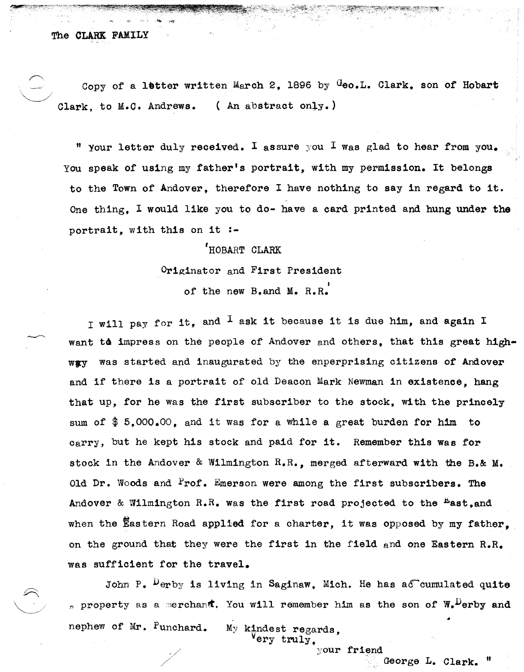Copy of a letter written March 2, 1896 by Geo.L. Clark, son of Hobart Clark, to M.C. Andrews. (An abstract only.)

" your letter duly received. I assure you I was glad to hear from you. You speak of using my father's portrait, with my permission. It belongs to the Town of Andover, therefore I have nothing to say in regard to it. One thing, I would like you to do- have a card printed and hung under the portrait, with this on it :-

# 'HOBART CLARK

Originator and First President

of the new B.and M. R.R.

I will pay for it, and  $<sup>I</sup>$  ask it because it is due him, and again I</sup> want to impress on the people of Andover and others, that this great highway was started and inaugurated by the enperprising citizens of Andover and if there is a portrait of old Deacon Mark Newman in existence, hang that up, for he was the first subscriber to the stock, with the princely sum of  $$5,000,00$ , and it was for a while a great burden for him to carry, but he kept his stock and paid for it. Remember this was for stock in the Andover & Wilmington R.R., merged afterward with the B.& M. Old Dr. Woods and Prof. Emerson were among the first subscribers. The Andover & Wilmington R.R. was the first road projected to the  $E_{\text{ast,and}}$ when the Eastern Road applied for a charter, it was opposed by my father, on the ground that they were the first in the field and one Eastern R.R. was sufficient for the travel.

John P.  $^{\mu}$ erby is living in Saginaw. Mich. He has a $\epsilon$  cumulated quite property as a merchant. You will remember him as the son of  $W_{\bullet}$  erby and nephew of Mr. Punchard. My kindest regards.  $\texttt{env}$  truly.

your friend

George L.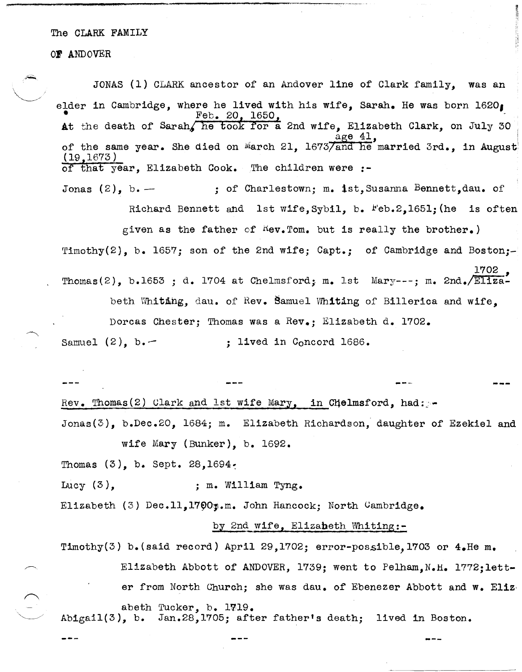### OF ANDOVER

'" **"\*** 

JONAS (1) CLARK ancestor of an Andover line of Clark family, was an elder in Cambridge, where he lived with his wife, Sarah. He was born 1620,  $\texttt{A}$ t the death of Sarah, he took for a 2nd wife, Elizabeth Clark, on July 30 c age 41, of the same year. She died on March 21,  $1673/$  and he married 3rd., in August (19,1673) of that year, Elizabeth Cook. The children were :-Jonas  $(2)$ , b. -  $\cdot$  ; of Charlestown; m. 1st, Susanna Bennett, dau. of Richard Bennett and lst wife, Sybil, b.  $Feb.2,1651$ ; (he is often given as the father of  $Kev$ . Tom. but is really the brother.) Timothy(2), b. 1657; son of the 2nd wife; Capt.; of Cambridge and Boston;-1702<br>-Thomas(2), b.1653 ; d. 1704 at Chelmsford; m. 1st Mary---; m. 2nd./Eliza beth Whiting, dau. of Rev. Bamuel Whiting of Billerica and wife, Dorcas Chester; Thomas was a Rev.; Elizabeth d. 1702. Samuel  $(2)$ , b.  $-$  ; lived in Concord 1686. Rev. Thomas(2) Clark and 1st wife Mary, in Chelmsford, had: Jonas(3), b.Dec.20, 1684; m. Elizabeth Richardson, daughter of Ezekiel and wife Mary (Bunker), b. 1692. Thomas  $(3)$ , b. Sept. 28, 1694. Lucy  $(3)$ , ; m. William Tyng. Elizabeth (3) Dec.11,1700y.m. John Hancock; North Cambridge. by 2nd wife, Elizabeth Whiting:-Timothy(3) b.(said record) April 29,1702; error-possible, 1703 or  $4.$  He m.

Elizabeth Abbott of ANDOVER, 1739; went to Pelham, N.H. 1772;letter from North Church; she was dau. of Ebenezer Abbott and w. Eliz. abeth Tucker, b. 1719. Abigail(3), b. Jan.28,1705j after father's death; lived in Boston.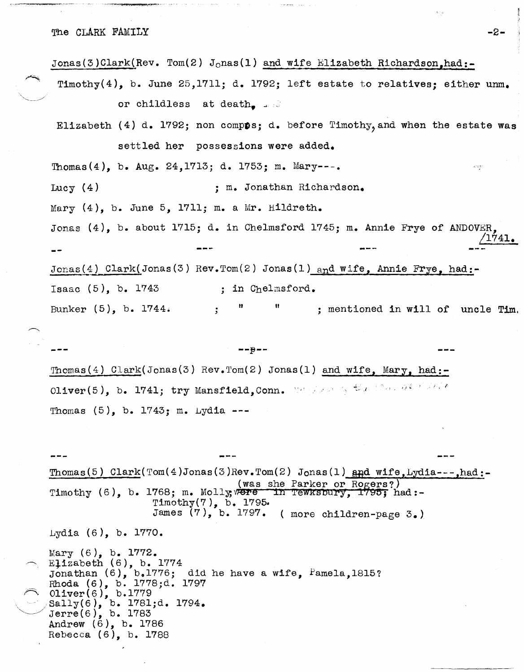The CLARK FAMILY  $-2-$ 

Jonas(3)Clark(Rev. Tom(2) J<sub>o</sub>nas(1) and wife Elizabeth Richardson,had:-Timothy(4), b. June 25,1711; d. 1792; left estate to relatives: either unm. or childless at death.  $\Box$ Elizabeth (4) d. 1792; non compos: d. before Timothy, and when the estate was settled her possessions were added. Thomas(4), b. Aug. 24, 1713; d. 1753; m. Mary---. k kipi Lucy (4) ; m. Jonathan Richardson. Mary  $(4)$ , b. June 5, 1711; m. a Mr. Hildreth. Jonas (4), b. about 1715; d. in Chelmsford 1745; m. Annie Frye of ANDOVER, *11741.*  Jonas(4) Clark(Jonas(3) Rev.Tom(2) Jonas(1) and wife, Annie Frye, had:-Isaac  $(5)$ , b. 1743 ; in Chelmsford. Bunker  $(5)$ , b. 1744.  $\qquad$ ; "  $\qquad$ ; mentioned in will of uncle Tim.

 $--e--$ Thomas(4) Clark(Jonas(3) Rev.Tom(2) Jonas(1) and wife, Mary, had:-Oliver(5), b. 1741; try Mansfield,Conn. Manyles of the Connecticity Thomas  $(5)$ , b. 1743; m. Lydia ---

Thomas(5) Clark(Tom(4)Jonas(3)Rev.Tom(2) Jonas(1)  $_{\text{Apd}}$  wife,Lydia---,had:-(was she Parker or Rogers?) Timothy (6), b. 1768; m. Molly; were in Tewnsbury, 1795; had:-Timothy(7), b. 1795. James (7), b. 1797. (more children-page 3.) Lydia (6), b. 1770. Mary (6), b. 1772. Elizabeth  $(6)$ , b. 1774 Jonathan  $(6)$ ,  $b.1776$ ; did he have a wife, Pamela,1815?

Rhoda (6), b. 1778;d. 1797 Oliver(6), b.1779, 1794.<br>
Sally(6), b. 1781;d. 1794.<br>
Jerre(6), b. 1783 Andrew (6), b. 1786 Rebecca (6), b. 1788

 $\tilde{\mathbf{r}}$  ,  $\tilde{\mathbf{r}}$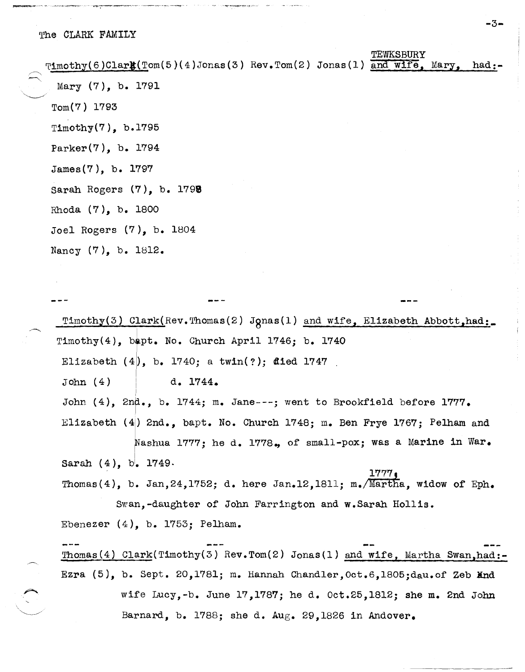| $\mathcal{T}1\n\dots\n\text{t}(6)$ Clark(Tom(5)(4)Jonas(3) Rev.Tom(2) Jonas(1) and wife, Mary, had:- |  | TEWKSBURY |  |
|------------------------------------------------------------------------------------------------------|--|-----------|--|
|                                                                                                      |  |           |  |
| Mary $(7)$ , b. 1791                                                                                 |  |           |  |
| $Tom(7)$ 1793                                                                                        |  |           |  |
| Timothy $(7)$ , b.1795                                                                               |  |           |  |
| Parker $(7)$ , b. 1794                                                                               |  |           |  |
| James(7), b. 1797                                                                                    |  |           |  |
| Sarah Rogers (7), b. 1798                                                                            |  |           |  |
| Rhoda $(7)$ , b. 1800                                                                                |  |           |  |
| Joel Rogers $(7)$ , b. 1804                                                                          |  |           |  |
| Nancy (7), b. 1812.                                                                                  |  |           |  |

 $\texttt{Pimothy}(3)$  Clark(Rev.Thomas(2) Jonas(1) and wife, Elizabeth Abbott,had:.  $Timothy(4)$ , bapt. No. Church April 1746; b. 1740 Elizabeth  $(4)$ , b. 1740; a twin $(?)$ ; died 1747 I John (4) ! d. 1744. John (4), 2nd., b. 1744; m. Jane---; went to Brookfield before  $1777$ . Elizabeth (4) 2nd., bapt. No. Church 1748; m. Ben Frye 1767; Pelham and Sarah (4),  $b^{'}$ . 1749. I Nashua 1777; he d. 1778., of small-pox; was a Marine in War. 1777, Thomas(4), b. Jan, 24, 1752; d. here Jan. 12, 1811; m. /Martha, widow of Eph. Swan,-daughter of John Farrington and w.Sarah Hollis. Ebenezer  $(4)$ , b. 1753; Pelham.  $\texttt{Thomas}(4)$  Clark(Timothy(3) Rev.Tom(2) Jonas(1) and wife, Martha Swan,had:-Ezra  $(5)$ , b. Sept. 20,1781; m. Hannah Chandler, Oct.6,1805;dau.of Zeb And

wife Lucy,-b. June 17,1787; he d. Oct.25,1812; she m. 2nd John Barnard, b. 1788; she d. Aug. 29,1826 in Andover.

-3-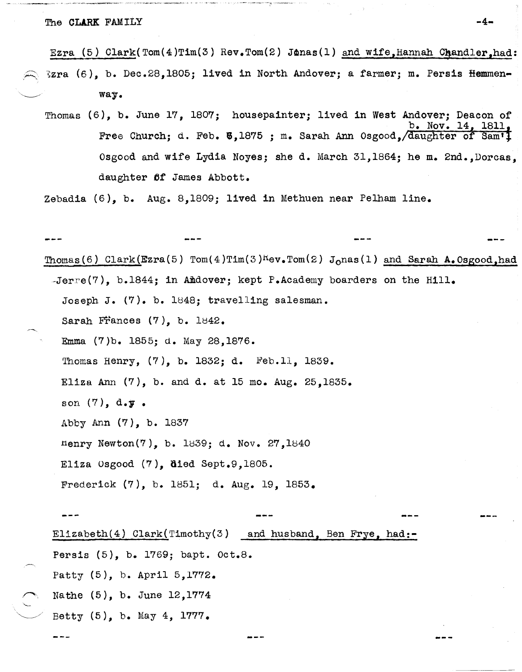The CLARK FAM ILY  $-4$ -

 $\rightarrow$ '-

Ezra (5)  $Clark(Tom(4)Tim(3) Rev,Tom(2) James(1) and wife,Hannah Chandler,had:$ Ezra (6), b. Dec.28,1805; lived in North Andover; a farmer; m. Persis Hemmenway.

Thomas (6), b. June 17, 1807; housepainter; lived in west Andover; Deacon of  $b. Nov. 14$ Free Church; d. Feb. **5**,1875 ; m. Sarah Ann Osgood, daughter of Sam<sup>1</sup>1 Osgood and wife Lydia Noyes; she d. March 31,1864; he m. 2nd.,Dorcas, daughter 6f James Abbott.

Zebadia (6), b. Aug. 8,1809; lived in Methuen near Pelham line.

~,- Thomas(6) Clark(Ezra(5) Tom(4)Tim(3)<sup>K</sup>ev.Tom(2) J<sub>o</sub>nas(1) and Sarah A.Osgood,had  $-Jerre(7)$ , b.1844; in Amdover; kept P.Academy boarders on the Hill. Joseph J. (7). b. 1848; travelling salesman. Sarah Frances  $(7)$ , b. 1842. Emma (7)b. 1855; d. May 28,1876. Thomas Henry,  $(7)$ , b. 1832; d. Feb.11, 1839. Eliza Ann  $(7)$ , b. and d. at 15 mo. Aug. 25,1835. son  $(7)$ ,  $d \cdot \mathbf{y}$ . Abby Ann (7), b. 1837 nenry Newton(7), b. 1839; d. Nov. 27,1840 Eliza Osgood  $(7)$ , died Sept.9,1805. Frederick (7), b. 1851; d. Aug. 19, 1853. Elizabeth(4) Clark(Timothy(3) and husband, Ben Frye, had:- Persis (5), b. 1769; bapt. Oct.8. Patty (5), b. April 5,1772. Nathe (5), b. June 12,1774 Betty  $(5)$ , b. May 4, 1777.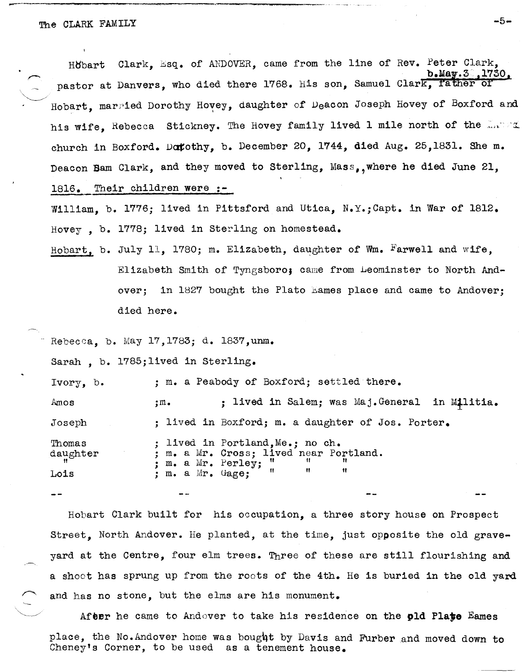--'----------------------------------,---------------

 $\,\times\,$  ,  $\,\times\,$ Höbart Clark, Esq. of ANDOVER, came from the line of Rev. Peter Clark.  $b$ . May.  $3^{\circ}$ , 1730, pastor at Danvers, who died there 1768. His son, Samuel Clark, father of Hobart, married Dorothy Hovey, daughter of Deacon Joseph Hovey of Boxford and his wife. Rebecca Stickney. The Hovey family lived 1 mile north of the  $\frac{1}{2}$ . church in Boxford. Datothy, b. December 20, 1744, died Aug. 25,1831. She m. Deacon Bam Clark, and they moved to Sterling, Mass, where he died June 21, 1816. Their children were :-

William, b. 1776; lived in Pittsford and Utica, N.Y.; Capt. in War of 1812. Hovey, b. 1778; lived in Sterling on homestead.

Hobart, b. July 11, 1780; m. Elizabeth, daughter of Wm. Farwell and wife, Elizabeth Smith of Tyngsboro; came from Leominster to North Andover; in 1827 bought the Plato hames place and came to Andover; died here.

Rebecca, b. May 17,1783; d. 1837,unm.

Sarah, b. l785;lived in Sterling.

Ivory, b. Amos Joseph Thomas daughter Lois ; m. a Peabody of Boxford; settled there. ;m. ; lived in Salem; was Maj.General in Militia. ; lived in Boxford; m. a daughter of Jos. Porter. ; lived in Portland, Me.; no ch.<br>: m. a Mr. Cross; lived near Portland.  $m_e$  a Mr. Perley;  $\begin{array}{ccc} \text{m} & \text{m} & \text{m} \\ \text{m} & \text{m} & \text{m} \\ \text{m} & \text{m} & \text{m} \end{array}$ : m. a Mr. Gage:

Hobart Clark built for his occupation, a three story house on Prospect Street, North Andover. He planted, at the time, just opposite the old graveyard at the centre, four elm trees. Three of these are still flourishing and a shoot has sprung up from the roots of the 4th. He is buried in the old yard and has no stone, but the elms are his monument.

After he came to Andover to take his residence on the pld Plate Eames place, the No. Andover home was bought by Davis and Furber and moved down to Cheneyts Corner, to be used as a tenement house.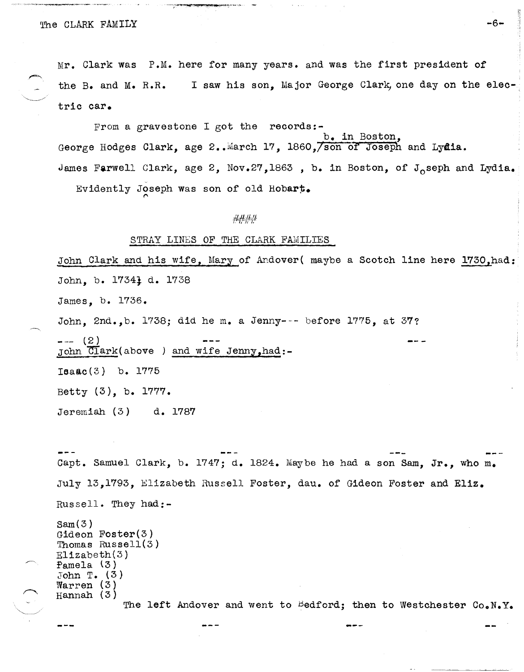# The CLARK FAMILY -6-

Mr. Clark was P.M. here for many years. and was the first president of the B. and M. R.R. I saw his son. Major George Clark, one day on the electric car.

From a gravestone I got the records:b. in Boston, George Hodges Clark, age 2.. March 17, 1860, son of Joseph and Lydia. James Farwell Clark, age 2, Nov.27,1863, b. in Boston, of J<sub>o</sub>seph and Lydia.

Evidently Joseph was son of old Hobart.

## ####

#### STRAY LINES OF THE CLARK FAMILIES

John Clark and his wife, Mary of Andover( maybe a Scotch line here 1730,had: John, b. 1734} d. 1738 James, b. 1736. John, 2nd.,b. 1738; did he m. a Jenny--- before 1775, at 37?  $--- (2)$ John Clark(above ) and wife Jenny, had:-Ieaac(3) b. 1775 Betty (3), b. 1777. Jeremiah (3) d. 1'78'7

capt. Samuel Clark, b. 1747; d. 1824. Maybe he had a son Sam, Jr., who m. July 13,1'793, Elizabeth Russell Foster, dau. of Gideon Foster and Eliz. Russell. They had:-  $Sam(3)$ Gideon Foster(3) Thomas Russell(3) Elizabeth(3) Pamela (3) John T.  $(3)$  $\texttt{Warren}$  (3) Hannah (3) The left Andover and went to Bedford; then to Westchester Co.N.Y.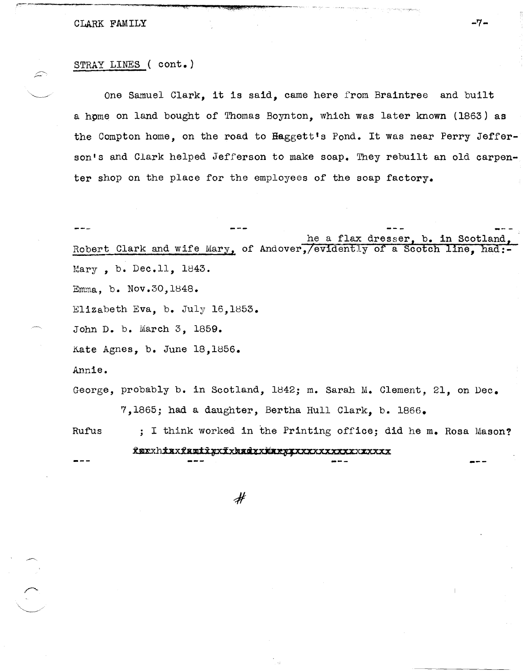# CLARK FAMILY  $-7$ -

## STRAY LINES ( cont.)

 $k$  . The interpretational  $\mathcal{E}_\mathcal{A}$ 

One Samuel Clark, it is said, came here from Braintree and built a hpme on land bought of Thomas Boynton, which was later known (1863) as the Compton home, on the road to Haggett's Pond. It was near Perry Jefferson's and Clark helped Jefferson to make soap. They rebuilt an old carpenter shop on the place for the employees of the soap factory.

he a flax dresser, b. in Scotland, Robert Clark and wife Mary, of Andover,/evidently *of* a Scotch line, had:- Mary , b. Dec.ll, 1843. Emma, b. Nov.30,1848. Elizabeth Eva, b. July 16,1853. John D. b. March 3, 1859. Kate Agnes, b. June 18,1856. Annie. George, probably b. in Scotland, 1842; m. Sarah M. Clement, 21, on Dec.

7,1865; had a daughter, Bertha Hull Clark, b. 1866.

Rufus ; I think worked in the Printing office; did he m. Rosa Mason?

# <u> RaxxhixxfamilyxīxkadixNarpixxxxxxxxxxxxxxxx</u>

 $\cancel{\#}$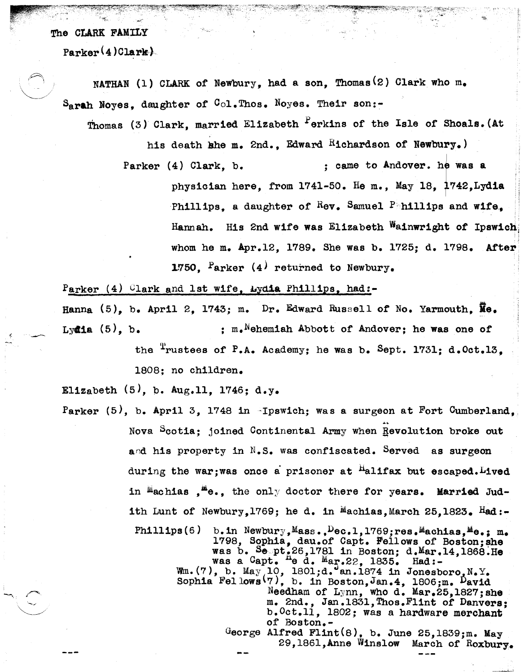$\sim$   $\sim$   $\sim$ 

 $\searrow$   $\searrow$ 

 $Parker(4)$ Clark<sup>}</sup>

 $S_{\text{graph}}$  Noyes, daughter of  $C_{\text{ol}}$ . Thos. Noyes. Their son:-NATHAN (1) CLARK of Newbury, had a son, Thomas<sup>(2)</sup> Clark who m.

Thomas (3) Clark, married Elizabeth  $P$ erkins of the Isle of Shoals. (At

his death she m. 2nd., Edward Richardson of Newbury.)

Parker (4) Clark, b. : came to Andover. he was a physician here, from 1741-50. He m., May 18, 1742, Lydia Phillips, a daughter of  $R_{ev}$ . Samuel P; hillips and wife. Hannah. His 2nd wife was Elizabeth Wainwright *ot* Ipswich: whom he m. Apr.12, 1789. She was b. 1725; d. 1798. Atter 1750. <sup>P</sup>arker (4) returned to Newbury.

Parker (4)  $C\$ lark and 1st wife, Lydia Phillips, had:-

Hanna (5), b. April 2, 1743; m. Dr. Edward Russell of No. Yarmouth,  $\overline{\mathbf{M}}\mathbf{e}$ . Lydia  $(5)$ , b.  $\qquad \qquad ; \qquad$  m.<sup>N</sup>ehemiah Abbott of Andover; he was one of

> the <sup>T</sup>rustees of P.A. Academy; he was b. Sept. 1731; d.Oct.13. 1808; no children.

Elizabeth  $(5)$ , b. Aug.11, 1746; d.y.

Parker  $(5)$ , b. April 3, 1748 in Ipswich; was a surgeon at Fort Cumberland. Nova Scotia; joined Continental Army when Revolution broke out and his property in  $N_sS_s$ . was confiscated. Served as surgeon during the war; was once a prisoner at  $H$ alifax but escaped. Lived in  $M$ achias  $H^*$ e., the only doctor there for years. Married Judith Lunt of Newbury,  $1769$ ; he d. in Machias, March 25, 1823. Had:-Phillips(6) b.in Newbury, Mass.,  $Dec.1, 1769$ ; res. Machias, Me.: m. 1798, Sophia, dau.ot Capt. Fellows of Boston;she was b. Sept.26,178l in Boston; d.Mar.14,1868.He was a  $Capt$ .  $^{he}$  d.  $^{Me}$ ar. 22, 1835. Had:- $\mathbb{W}$ m.(7), b. May 10, 1801;d. an.1874 in Jonesboro<sub>s</sub>N.Y. Sophia Fellows<sup>(7)</sup>, b. in Boston, Jan.4, 1806; m. <sup>D</sup>avid Needham of Lynn, who d. Mar.25,1827; she m. 2nd., Jan.183l,Thos.Fllnt *ot* Danvers; b.Oct.ll, 1802; was a hardware merchant of Boston.- George Alfred Flint $(8)$ , b. June 25,1839;m. May 29,186l,Anne Winslow March of Roxbury.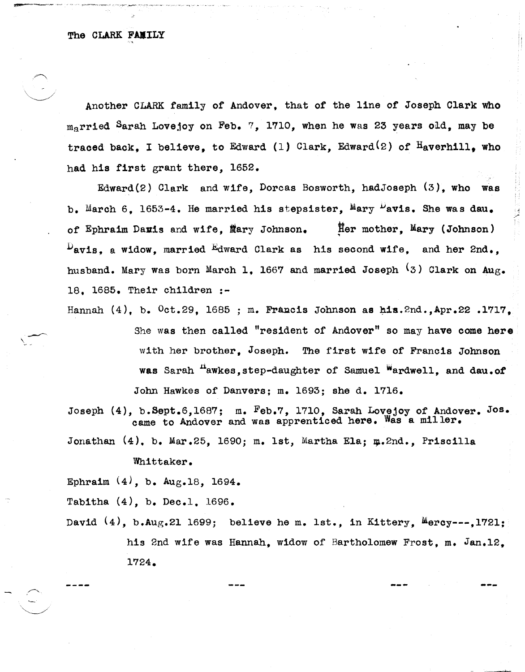$\sim$ 

 $\checkmark$ 

Another CLARK family of Andover, that of the line of Joseph Clark who married Sarah Lovejoy on Feb. 7, 1710, when he was 23 years old, may be traced back, I believe, to Edward (1) Clark, Edward<sup>(2)</sup> of  $H_{\text{avernill}}$ , who had his first grant there, 1652.

Edward(2) Clark and wife, Dorcas Bosworth, hadJoseph (3), who was b. March 6. 1653-4. He married his stepsister, Mary Pavis. She was dau. of Ephraim Davis and wife, Mary Johnson. Her mother, Mary (Johnson)  $P_{\text{avis, a window, married}}$  Edward Clark as his second wife, and her 2nd., husband. Mary was born March 1. 1667 and married Joseph  $(3)$  Clark on Aug. 18. 1685. Their children :-

Hannah  $(4)$ , b.  $0ct.29$ , 1685 ; m. Francis Johnson as his.2nd.,Apr.22 .1717. She was then called "resident of Andover" so may have come here with her brother, Joseph. The first wife of Francis Johnson was Sarah <sup>n</sup>awkes, step-daughter of Samuel <sup>w</sup>ardwell, and dau.of John Hawkes of Danvers; m. 1693; she d. 1716.

Joseph (4), b.Sept.6,1687; m. Feb.7, 1710, Sarah Lovejoy of Andover. Jos. came to Andover and was apprenticed here. Was a miller.

Jonathan  $(4)$ , b. Mar.25, 1690; m. 1st, Martha Ela;  $\mu$ .2nd., Priscilla

Whittaker.

Ephraim  $(4)$ , b. Aug. 18, 1694.

Tabitha (4), b. Dec.l. 1696.

David  $(4)$ , b.Aug.21 1699; believe he m. lst., in Kittery, Mercy---,1721; his 2nd wife was Hannah, widow of Bartholomew Frost, m. Jan.12, 1724.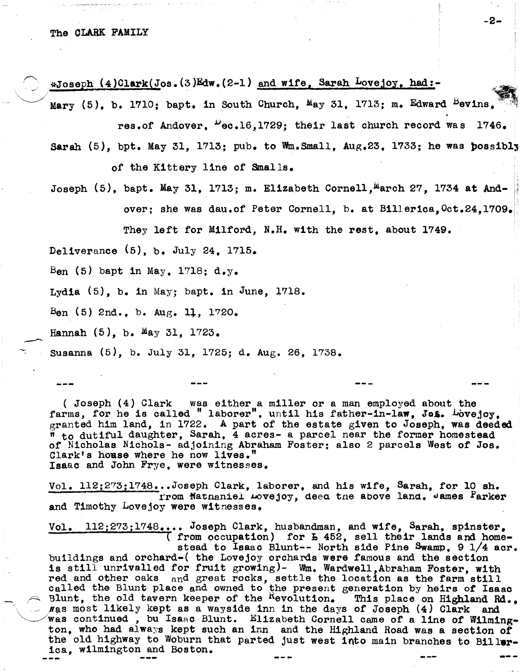*,r---.•* \*Joseph (4)Clark(Jos.(3)Edw.(2-1) and wife, Sarah Lovejoy, had:-

Mary (5), b. 1710; bapt. in South Church,  $M_{AY}$  31, 1713; m. Edward Bevins, res.of Andover,  $u_{\text{ec.16,1729}}$ ; their last church record was 1746.

-2-

- Sarah  $(5)$ , bpt. May 31, 1713; pub. to Wm. Small,  $Aug.23$ , 1733; he was possibly of the Kittery line of Smalls.
- Joseph  $(5)$ , bapt. May 31, 1713; m. Elizabeth Cornell.<sup>M</sup>arch 27, 1734 at Andover; she was dau.of Peter Cornell, b. at Billerica. Oct.24.1709.

They left for Milford, N.H. with the rest, about 1749.

Deliverance (5), b. July 24, 1715.

Ben (5) bapt in May,  $1718$ ; d.y.

Lydia  $(5)$ , b. in May; bapt. in June, 1718.

 $B_{en}$  (5) 2nd., b.  $Aug. 11, 1720.$ 

Hannah  $(5)$ , b. May 31, 1723.

 $\overline{\phantom{0}}$ 

Susanna (5), b. July 31, 1725; d. Aug. 26, 1738.

( Joseph (4) Clark was either ,a miller or a man employed about the farms, for he is called "laborer", until his father-in-law, Jos. Lovejoy, granted him land, in 1722. A part of the estate given to Joseph, was deeded  $\frac{1}{n}$  to dutiful daughter, Sarah, 4 acres- a parcel near the former homestead of Nicholas Nichols- adjoining Abraham Foster; also 2 parcels West of Jos. Clark's house where he now lives." Isaac and John Frye, were witnesses.

Vol. 112;273;1748...Joseph Clark, laborer, and his wife, Sarah, for 10 sh. rrom Matnaniel Lovejoy, deea tne above land. James Parker and Timothy Lovejoy were witnesses.

Vol.  $112;273;1748...$  Joseph Clark, husbandman, and wife, Sarah, spinster, (from occupation) for  $E = 452$ , sell their lands and homestead to Isaac Blunt-- North side Pine Swamp, 9 1/4 acr. buildings and orchard-( the Lovejoy orchards were famous and the section buildings and orchard-(the hove joy orchards were lamous and the section is still unrivalled for fruit growing)- Wm. Wardwell,Abraham Foster, with red and other oaks and great rocks, settle the location as the farm still called the Blunt place and owned to the present generation by heirs of **Isaac** Blunt, the old tavern keeper of the "evolution. This place on Highland Rd.,  $\mu$ as most likely kept as a wayside inn in the days of Joseph (4) Clark and was continued , bu Isaac Blunt. Elizabeth Cornell came of a line of Wilmington, who had always kept such an inn and the Highland Road was a section *ot*  the old highway to Woburn that parted just west into main branches to Billerica, wilmington and Boston.